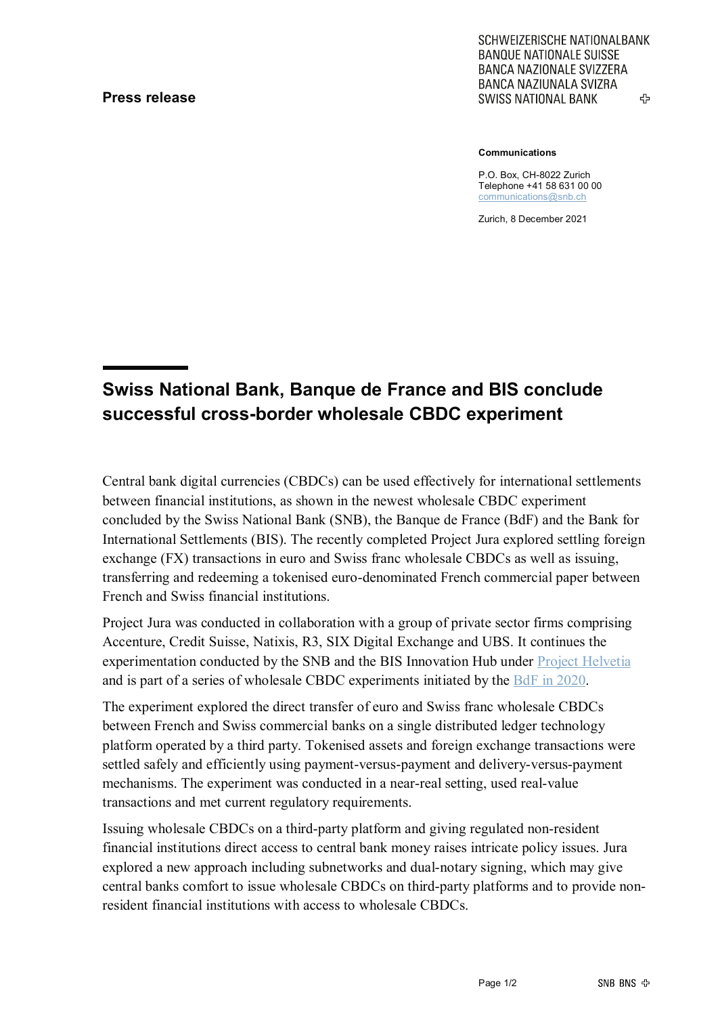## **Press release**

SCHWEIZERISCHE NATIONALBANK **BANQUE NATIONALE SUISSE BANCA NAZIONALE SVIZZERA** BANCA NAZIUNALA SVIZRA ሩን **SWISS NATIONAL BANK** 

**Communications**

P.O. Box, CH-8022 Zurich Telephone +41 58 631 00 00 [communications@snb.ch](mailto:communications@snb.ch)

Zurich, 8 December 2021

## **Swiss National Bank, Banque de France and BIS conclude successful cross-border wholesale CBDC experiment**

Central bank digital currencies (CBDCs) can be used effectively for international settlements between financial institutions, as shown in the newest wholesale CBDC experiment concluded by the Swiss National Bank (SNB), the Banque de France (BdF) and the Bank for International Settlements (BIS). The recently completed Project Jura explored settling foreign exchange (FX) transactions in euro and Swiss franc wholesale CBDCs as well as issuing, transferring and redeeming a tokenised euro-denominated French commercial paper between French and Swiss financial institutions.

Project Jura was conducted in collaboration with a group of private sector firms comprising Accenture, Credit Suisse, Natixis, R3, SIX Digital Exchange and UBS. It continues the experimentation conducted by the SNB and the BIS Innovation Hub under [Project Helvetia](https://www.snb.ch/en/iabout/internat/multilateral/id/internat_multilateral_bisih#t2) and is part of a series of wholesale CBDC experiments initiated by the [BdF in 2020.](https://www.banque-france.fr/sites/default/files/media/2021/11/09/rapport_mnbc_0.pdf)

The experiment explored the direct transfer of euro and Swiss franc wholesale CBDCs between French and Swiss commercial banks on a single distributed ledger technology platform operated by a third party. Tokenised assets and foreign exchange transactions were settled safely and efficiently using payment-versus-payment and delivery-versus-payment mechanisms. The experiment was conducted in a near-real setting, used real-value transactions and met current regulatory requirements.

Issuing wholesale CBDCs on a third-party platform and giving regulated non-resident financial institutions direct access to central bank money raises intricate policy issues. Jura explored a new approach including subnetworks and dual-notary signing, which may give central banks comfort to issue wholesale CBDCs on third-party platforms and to provide nonresident financial institutions with access to wholesale CBDCs.